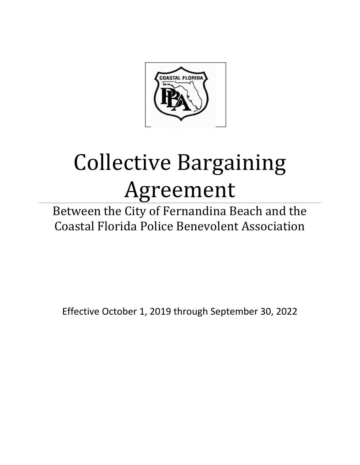

# Collective Bargaining Agreement

Between the City of Fernandina Beach and the Coastal Florida Police Benevolent Association

Effective October 1, 2019 through September 30, 2022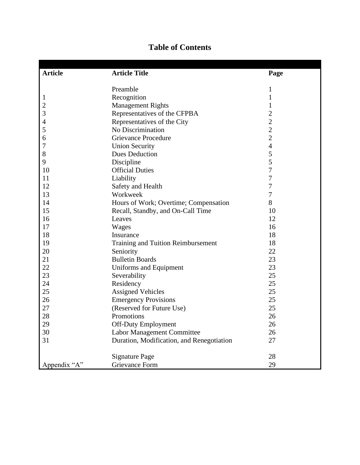| <b>Article</b> | <b>Article Title</b>                      | Page           |
|----------------|-------------------------------------------|----------------|
|                |                                           |                |
|                | Preamble                                  | $\mathbf{1}$   |
| 1              | Recognition                               | $\mathbf{1}$   |
| $\overline{c}$ | <b>Management Rights</b>                  | $\mathbf 1$    |
| 3              | Representatives of the CFPBA              | $\overline{c}$ |
| 4              | Representatives of the City               | $\overline{c}$ |
| 5              | No Discrimination                         | $\overline{c}$ |
| 6              | <b>Grievance Procedure</b>                | $\overline{2}$ |
| 7              | <b>Union Security</b>                     | $\overline{4}$ |
| 8              | <b>Dues Deduction</b>                     | 5              |
| 9              | Discipline                                | 5              |
| 10             | <b>Official Duties</b>                    | $\overline{7}$ |
| 11             | Liability                                 | $\overline{7}$ |
| 12             | Safety and Health                         | $\overline{7}$ |
| 13             | Workweek                                  | $\tau$         |
| 14             | Hours of Work; Overtime; Compensation     | 8              |
| 15             | Recall, Standby, and On-Call Time         | 10             |
| 16             | Leaves                                    | 12             |
| 17             | Wages                                     | 16             |
| 18             | Insurance                                 | 18             |
| 19             | <b>Training and Tuition Reimbursement</b> | 18             |
| 20             | Seniority                                 | 22             |
| 21             | <b>Bulletin Boards</b>                    | 23             |
| 22             | Uniforms and Equipment                    | 23             |
| 23             | Severability                              | 25             |
| 24             | Residency                                 | 25             |
| 25             | <b>Assigned Vehicles</b>                  | 25             |
| 26             | <b>Emergency Provisions</b>               | 25             |
| 27             | (Reserved for Future Use)                 | 25             |
| 28             | Promotions                                | 26             |
| 29             | <b>Off-Duty Employment</b>                | 26             |
| 30             | <b>Labor Management Committee</b>         | 26             |
| 31             |                                           | 27             |
|                | Duration, Modification, and Renegotiation |                |
|                | <b>Signature Page</b>                     | 28             |
| Appendix "A"   | <b>Grievance Form</b>                     | 29             |

# **Table of Contents**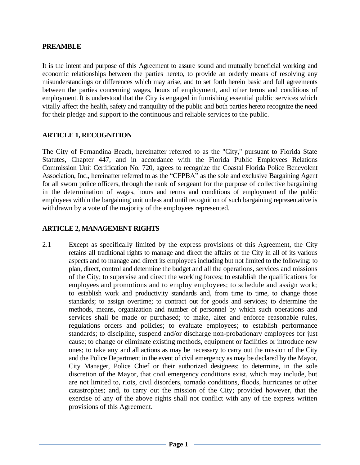#### **PREAMBLE**

It is the intent and purpose of this Agreement to assure sound and mutually beneficial working and economic relationships between the parties hereto, to provide an orderly means of resolving any misunderstandings or differences which may arise, and to set forth herein basic and full agreements between the parties concerning wages, hours of employment, and other terms and conditions of employment. It is understood that the City is engaged in furnishing essential public services which vitally affect the health, safety and tranquility of the public and both parties hereto recognize the need for their pledge and support to the continuous and reliable services to the public.

#### **ARTICLE 1, RECOGNITION**

The City of Fernandina Beach, hereinafter referred to as the "City," pursuant to Florida State Statutes, Chapter 447, and in accordance with the Florida Public Employees Relations Commission Unit Certification No. 720, agrees to recognize the Coastal Florida Police Benevolent Association, Inc., hereinafter referred to as the "CFPBA" as the sole and exclusive Bargaining Agent for all sworn police officers, through the rank of sergeant for the purpose of collective bargaining in the determination of wages, hours and terms and conditions of employment of the public employees within the bargaining unit unless and until recognition of such bargaining representative is withdrawn by a vote of the majority of the employees represented.

# **ARTICLE 2, MANAGEMENT RIGHTS**

2.1 Except as specifically limited by the express provisions of this Agreement, the City retains all traditional rights to manage and direct the affairs of the City in all of its various aspects and to manage and direct its employees including but not limited to the following: to plan, direct, control and determine the budget and all the operations, services and missions of the City; to supervise and direct the working forces; to establish the qualifications for employees and promotions and to employ employees; to schedule and assign work; to establish work and productivity standards and, from time to time, to change those standards; to assign overtime; to contract out for goods and services; to determine the methods, means, organization and number of personnel by which such operations and services shall be made or purchased; to make, alter and enforce reasonable rules, regulations orders and policies; to evaluate employees; to establish performance standards; to discipline, suspend and/or discharge non-probationary employees for just cause; to change or eliminate existing methods, equipment or facilities or introduce new ones; to take any and all actions as may be necessary to carry out the mission of the City and the Police Department in the event of civil emergency as may be declared by the Mayor, City Manager, Police Chief or their authorized designees; to determine, in the sole discretion of the Mayor, that civil emergency conditions exist, which may include, but are not limited to, riots, civil disorders, tornado conditions, floods, hurricanes or other catastrophes; and, to carry out the mission of the City; provided however, that the exercise of any of the above rights shall not conflict with any of the express written provisions of this Agreement.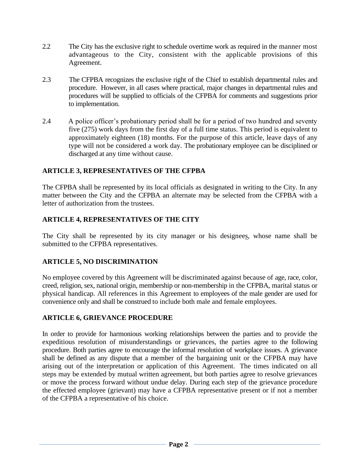- 2.2 The City has the exclusive right to schedule overtime work as required in the manner most advantageous to the City, consistent with the applicable provisions of this Agreement.
- 2.3 The CFPBA recognizes the exclusive right of the Chief to establish departmental rules and procedure. However, in all cases where practical, major changes in departmental rules and procedures will be supplied to officials of the CFPBA for comments and suggestions prior to implementation.
- 2.4 A police officer's probationary period shall be for a period of two hundred and seventy five (275) work days from the first day of a full time status. This period is equivalent to approximately eighteen (18) months. For the purpose of this article, leave days of any type will not be considered a work day. The probationary employee can be disciplined or discharged at any time without cause.

# **ARTICLE 3, REPRESENTATIVES OF THE CFPBA**

The CFPBA shall be represented by its local officials as designated in writing to the City. In any matter between the City and the CFPBA an alternate may be selected from the CFPBA with a letter of authorization from the trustees.

# **ARTICLE 4, REPRESENTATIVES OF THE CITY**

The City shall be represented by its city manager or his designees, whose name shall be submitted to the CFPBA representatives.

#### **ARTICLE 5, NO DISCRIMINATION**

No employee covered by this Agreement will be discriminated against because of age, race, color, creed, religion, sex, national origin, membership or non-membership in the CFPBA, marital status or physical handicap. All references in this Agreement to employees of the male gender are used for convenience only and shall be construed to include both male and female employees.

#### **ARTICLE 6, GRIEVANCE PROCEDURE**

In order to provide for harmonious working relationships between the parties and to provide the expeditious resolution of misunderstandings or grievances, the parties agree to the following procedure. Both parties agree to encourage the informal resolution of workplace issues. A grievance shall be defined as any dispute that a member of the bargaining unit or the CFPBA may have arising out of the interpretation or application of this Agreement. The times indicated on all steps may be extended by mutual written agreement, but both parties agree to resolve grievances or move the process forward without undue delay. During each step of the grievance procedure the effected employee (grievant) may have a CFPBA representative present or if not a member of the CFPBA a representative of his choice.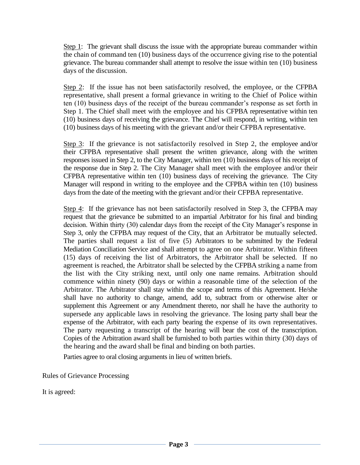Step 1: The grievant shall discuss the issue with the appropriate bureau commander within the chain of command ten (10) business days of the occurrence giving rise to the potential grievance. The bureau commander shall attempt to resolve the issue within ten (10) business days of the discussion.

Step 2: If the issue has not been satisfactorily resolved, the employee, or the CFPBA representative, shall present a formal grievance in writing to the Chief of Police within ten (10) business days of the receipt of the bureau commander's response as set forth in Step 1. The Chief shall meet with the employee and his CFPBA representative within ten (10) business days of receiving the grievance. The Chief will respond, in writing, within ten (10) business days of his meeting with the grievant and/or their CFPBA representative.

Step 3: If the grievance is not satisfactorily resolved in Step 2, the employee and/or their CFPBA representative shall present the written grievance, along with the written responses issued in Step 2, to the City Manager, within ten (10) business days of his receipt of the response due in Step 2. The City Manager shall meet with the employee and/or their CFPBA representative within ten (10) business days of receiving the grievance. The City Manager will respond in writing to the employee and the CFPBA within ten (10) business days from the date of the meeting with the grievant and/or their CFPBA representative.

Step 4: If the grievance has not been satisfactorily resolved in Step 3, the CFPBA may request that the grievance be submitted to an impartial Arbitrator for his final and binding decision. Within thirty (30) calendar days from the receipt of the City Manager's response in Step 3, only the CFPBA may request of the City, that an Arbitrator be mutually selected. The parties shall request a list of five (5) Arbitrators to be submitted by the Federal Mediation Conciliation Service and shall attempt to agree on one Arbitrator. Within fifteen (15) days of receiving the list of Arbitrators, the Arbitrator shall be selected. If no agreement is reached, the Arbitrator shall be selected by the CFPBA striking a name from the list with the City striking next, until only one name remains. Arbitration should commence within ninety (90) days or within a reasonable time of the selection of the Arbitrator. The Arbitrator shall stay within the scope and terms of this Agreement. He/she shall have no authority to change, amend, add to, subtract from or otherwise alter or supplement this Agreement or any Amendment thereto, nor shall he have the authority to supersede any applicable laws in resolving the grievance. The losing party shall bear the expense of the Arbitrator, with each party bearing the expense of its own representatives. The party requesting a transcript of the hearing will bear the cost of the transcription. Copies of the Arbitration award shall be furnished to both parties within thirty (30) days of the hearing and the award shall be final and binding on both parties.

Parties agree to oral closing arguments in lieu of written briefs.

Rules of Grievance Processing

It is agreed: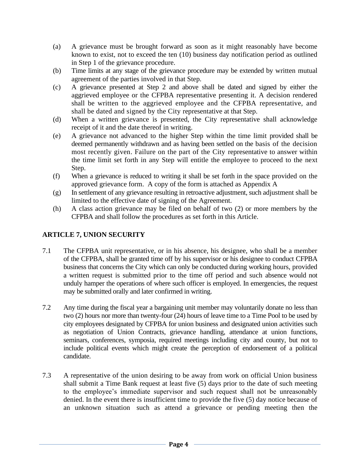- (a) A grievance must be brought forward as soon as it might reasonably have become known to exist, not to exceed the ten (10) business day notification period as outlined in Step 1 of the grievance procedure.
- (b) Time limits at any stage of the grievance procedure may be extended by written mutual agreement of the parties involved in that Step.
- (c) A grievance presented at Step 2 and above shall be dated and signed by either the aggrieved employee or the CFPBA representative presenting it. A decision rendered shall be written to the aggrieved employee and the CFPBA representative, and shall be dated and signed by the City representative at that Step.
- (d) When a written grievance is presented, the City representative shall acknowledge receipt of it and the date thereof in writing.
- (e) A grievance not advanced to the higher Step within the time limit provided shall be deemed permanently withdrawn and as having been settled on the basis of the decision most recently given. Failure on the part of the City representative to answer within the time limit set forth in any Step will entitle the employee to proceed to the next Step.
- (f) When a grievance is reduced to writing it shall be set forth in the space provided on the approved grievance form. A copy of the form is attached as Appendix A
- (g) In settlement of any grievance resulting in retroactive adjustment, such adjustment shall be limited to the effective date of signing of the Agreement.
- (h) A class action grievance may be filed on behalf of two (2) or more members by the CFPBA and shall follow the procedures as set forth in this Article.

# **ARTICLE 7, UNION SECURITY**

- 7.1 The CFPBA unit representative, or in his absence, his designee, who shall be a member of the CFPBA, shall be granted time off by his supervisor or his designee to conduct CFPBA business that concerns the City which can only be conducted during working hours, provided a written request is submitted prior to the time off period and such absence would not unduly hamper the operations of where such officer is employed. In emergencies, the request may be submitted orally and later confirmed in writing.
- 7.2 Any time during the fiscal year a bargaining unit member may voluntarily donate no less than two (2) hours nor more than twenty-four (24) hours of leave time to a Time Pool to be used by city employees designated by CFPBA for union business and designated union activities such as negotiation of Union Contracts, grievance handling, attendance at union functions, seminars, conferences, symposia, required meetings including city and county, but not to include political events which might create the perception of endorsement of a political candidate.
- 7.3 A representative of the union desiring to be away from work on official Union business shall submit a Time Bank request at least five (5) days prior to the date of such meeting to the employee's immediate supervisor and such request shall not be unreasonably denied. In the event there is insufficient time to provide the five (5) day notice because of an unknown situation such as attend a grievance or pending meeting then the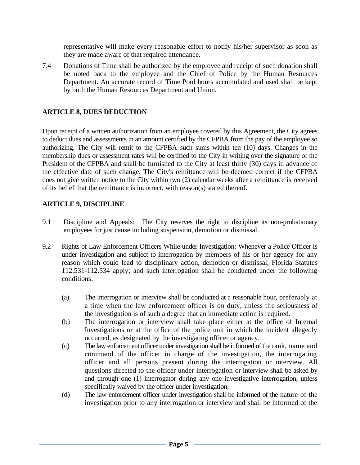representative will make every reasonable effort to notify his/her supervisor as soon as they are made aware of that required attendance.

7.4 Donations of Time shall be authorized by the employee and receipt of such donation shall be noted back to the employee and the Chief of Police by the Human Resources Department. An accurate record of Time Pool hours accumulated and used shall be kept by both the Human Resources Department and Union.

# **ARTICLE 8, DUES DEDUCTION**

Upon receipt of a written authorization from an employee covered by this Agreement, the City agrees to deduct dues and assessments in an amount certified by the CFPBA from the pay of the employee so authorizing. The City will remit to the CFPBA such sums within ten (10) days. Changes in the membership dues or assessment rates will be certified to the City in writing over the signature of the President of the CFPBA and shall be furnished to the City at least thirty (30) days in advance of the effective date of such change. The City's remittance will be deemed correct if the CFPBA does not give written notice to the City within two (2) calendar weeks after a remittance is received of its belief that the remittance is incorrect, with reason(s) stated thereof.

#### **ARTICLE 9, DISCIPLINE**

- 9.1 Discipline and Appeals: The City reserves the right to discipline its non-probationary employees for just cause including suspension, demotion or dismissal.
- 9.2 Rights of Law Enforcement Officers While under Investigation: Whenever a Police Officer is under investigation and subject to interrogation by members of his or her agency for any reason which could lead to disciplinary action, demotion or dismissal, Florida Statutes 112.531-112.534 apply; and such interrogation shall be conducted under the following conditions:
	- (a) The interrogation or interview shall be conducted at a reasonable hour, preferably at a time when the law enforcement officer is on duty, unless the seriousness of the investigation is of such a degree that an immediate action is required.
	- (b) The interrogation or interview shall take place either at the office of Internal Investigations or at the office of the police unit in which the incident allegedly occurred, as designated by the investigating officer or agency.
	- (c) The law enforcement officer under investigation shall be informed of the rank, name and command of the officer in charge of the investigation, the interrogating officer and all persons present during the interrogation or interview. All questions directed to the officer under interrogation or interview shall be asked by and through one (1) interrogator during any one investigative interrogation, unless specifically waived by the officer under investigation.
	- (d) The law enforcement officer under investigation shall be informed of the nature of the investigation prior to any interrogation or interview and shall be informed of the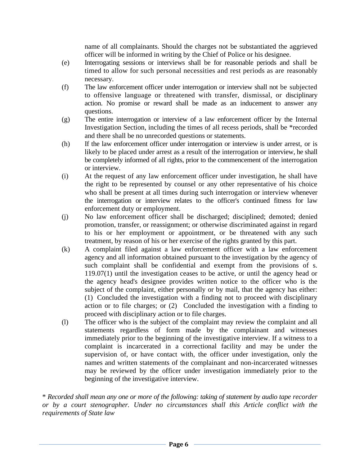name of all complainants. Should the charges not be substantiated the aggrieved officer will be informed in writing by the Chief of Police or his designee.

- (e) Interrogating sessions or interviews shall be for reasonable periods and shall be timed to allow for such personal necessities and rest periods as are reasonably necessary.
- (f) The law enforcement officer under interrogation or interview shall not be subjected to offensive language or threatened with transfer, dismissal, or disciplinary action. No promise or reward shall be made as an inducement to answer any questions.
- (g) The entire interrogation or interview of a law enforcement officer by the Internal Investigation Section, including the times of all recess periods, shall be \*recorded and there shall be no unrecorded questions or statements.
- (h) If the law enforcement officer under interrogation or interview is under arrest, or is likely to be placed under arrest as a result of the interrogation or interview, he shall be completely informed of all rights, prior to the commencement of the interrogation or interview.
- (i) At the request of any law enforcement officer under investigation, he shall have the right to be represented by counsel or any other representative of his choice who shall be present at all times during such interrogation or interview whenever the interrogation or interview relates to the officer's continued fitness for law enforcement duty or employment.
- (j) No law enforcement officer shall be discharged; disciplined; demoted; denied promotion, transfer, or reassignment; or otherwise discriminated against in regard to his or her employment or appointment, or be threatened with any such treatment, by reason of his or her exercise of the rights granted by this part.
- (k) A complaint filed against a law enforcement officer with a law enforcement agency and all information obtained pursuant to the investigation by the agency of such complaint shall be confidential and exempt from the provisions of s. 119.07(1) until the investigation ceases to be active, or until the agency head or the agency head's designee provides written notice to the officer who is the subject of the complaint, either personally or by mail, that the agency has either: (1) Concluded the investigation with a finding not to proceed with disciplinary action or to file charges; or (2) Concluded the investigation with a finding to proceed with disciplinary action or to file charges.
- (l) The officer who is the subject of the complaint may review the complaint and all statements regardless of form made by the complainant and witnesses immediately prior to the beginning of the investigative interview. If a witness to a complaint is incarcerated in a correctional facility and may be under the supervision of, or have contact with, the officer under investigation, only the names and written statements of the complainant and non-incarcerated witnesses may be reviewed by the officer under investigation immediately prior to the beginning of the investigative interview.

\* *Recorded shall mean any one or more of the following: taking of statement by audio tape recorder or by a court stenographer. Under no circumstances shall this Article conflict with the requirements of State law*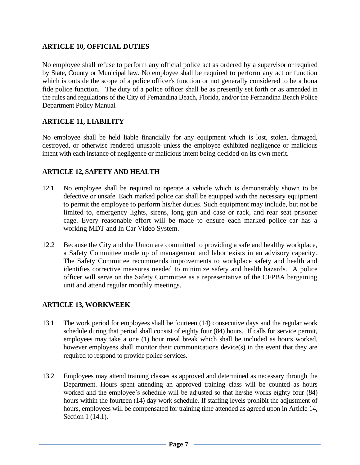# **ARTICLE 10, OFFICIAL DUTIES**

No employee shall refuse to perform any official police act as ordered by a supervisor or required by State, County or Municipal law. No employee shall be required to perform any act or function which is outside the scope of a police officer's function or not generally considered to be a bona fide police function. The duty of a police officer shall be as presently set forth or as amended in the rules and regulations of the City of Fernandina Beach, Florida, and/or the Fernandina Beach Police Department Policy Manual.

# **ARTICLE 11, LIABILITY**

No employee shall be held liable financially for any equipment which is lost, stolen, damaged, destroyed, or otherwise rendered unusable unless the employee exhibited negligence or malicious intent with each instance of negligence or malicious intent being decided on its own merit.

#### **ARTICLE 12, SAFETY AND HEALTH**

- 12.1 No employee shall be required to operate a vehicle which is demonstrably shown to be defective or unsafe. Each marked police car shall be equipped with the necessary equipment to permit the employee to perform his/her duties. Such equipment may include, but not be limited to, emergency lights, sirens, long gun and case or rack, and rear seat prisoner cage. Every reasonable effort will be made to ensure each marked police car has a working MDT and In Car Video System.
- 12.2 Because the City and the Union are committed to providing a safe and healthy workplace, a Safety Committee made up of management and labor exists in an advisory capacity. The Safety Committee recommends improvements to workplace safety and health and identifies corrective measures needed to minimize safety and health hazards. A police officer will serve on the Safety Committee as a representative of the CFPBA bargaining unit and attend regular monthly meetings.

#### **ARTICLE 13, WORKWEEK**

- 13.1 The work period for employees shall be fourteen (14) consecutive days and the regular work schedule during that period shall consist of eighty four (84) hours. If calls for service permit, employees may take a one (1) hour meal break which shall be included as hours worked, however employees shall monitor their communications device(s) in the event that they are required to respond to provide police services.
- 13.2 Employees may attend training classes as approved and determined as necessary through the Department. Hours spent attending an approved training class will be counted as hours worked and the employee's schedule will be adjusted so that he/she works eighty four (84) hours within the fourteen (14) day work schedule. If staffing levels prohibit the adjustment of hours, employees will be compensated for training time attended as agreed upon in Article 14, Section 1 (14.1).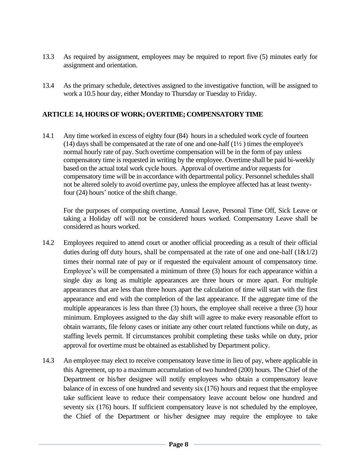- 13.3 As required by assignment, employees may be required to report five (5) minutes early for assignment and orientation.
- 13.4 As the primary schedule, detectives assigned to the investigative function, will be assigned to work a 10.5 hour day, either Monday to Thursday or Tuesday to Friday.

#### **ARTICLE 14, HOURS OF WORK; OVERTIME; COMPENSATORY TIME**

14.1 Any time worked in excess of eighty four (84) hours in a scheduled work cycle of fourteen  $(14)$  days shall be compensated at the rate of one and one-half  $(1\frac{1}{2})$  times the employee's normal hourly rate of pay. Such overtime compensation will be in the form of pay unless compensatory time is requested in writing by the employee. Overtime shall be paid bi-weekly based on the actual total work cycle hours. Approval of overtime and/or requests for compensatory time will be in accordance with departmental policy. Personnel schedules shall not be altered solely to avoid overtime pay, unless the employee affected has at least twentyfour (24) hours' notice of the shift change.

For the purposes of computing overtime, Annual Leave, Personal Time Off, Sick Leave or taking a Holiday off will not be considered hours worked. Compensatory Leave shall be considered as hours worked.

- 14.2 Employees required to attend court or another official proceeding as a result of their official duties during off duty hours, shall be compensated at the rate of one and one-half  $(1&\&1/2)$ times their normal rate of pay or if requested the equivalent amount of compensatory time. Employee's will be compensated a minimum of three (3) hours for each appearance within a single day as long as multiple appearances are three hours or more apart. For multiple appearances that are less than three hours apart the calculation of time will start with the first appearance and end with the completion of the last appearance. If the aggregate time of the multiple appearances is less than three (3) hours, the employee shall receive a three (3) hour minimum. Employees assigned to the day shift will agree to make every reasonable effort to obtain warrants, file felony cases or initiate any other court related functions while on duty, as staffing levels permit. If circumstances prohibit completing these tasks while on duty, prior approval for overtime must be obtained as established by Department policy.
- 14.3 An employee may elect to receive compensatory leave time in lieu of pay, where applicable in this Agreement, up to a maximum accumulation of two hundred (200) hours. The Chief of the Department or his/her designee will notify employees who obtain a compensatory leave balance of in excess of one hundred and seventy six (176) hours and request that the employee take sufficient leave to reduce their compensatory leave account below one hundred and seventy six (176) hours. If sufficient compensatory leave is not scheduled by the employee, the Chief of the Department or his/her designee may require the employee to take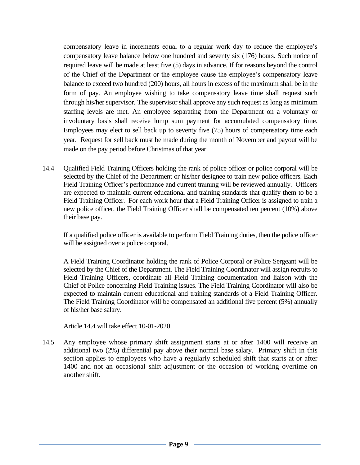compensatory leave in increments equal to a regular work day to reduce the employee's compensatory leave balance below one hundred and seventy six (176) hours. Such notice of required leave will be made at least five (5) days in advance. If for reasons beyond the control of the Chief of the Department or the employee cause the employee's compensatory leave balance to exceed two hundred (200) hours, all hours in excess of the maximum shall be in the form of pay. An employee wishing to take compensatory leave time shall request such through his/her supervisor. The supervisor shall approve any such request as long as minimum staffing levels are met. An employee separating from the Department on a voluntary or involuntary basis shall receive lump sum payment for accumulated compensatory time. Employees may elect to sell back up to seventy five (75) hours of compensatory time each year. Request for sell back must be made during the month of November and payout will be made on the pay period before Christmas of that year.

14.4 Qualified Field Training Officers holding the rank of police officer or police corporal will be selected by the Chief of the Department or his/her designee to train new police officers. Each Field Training Officer's performance and current training will be reviewed annually. Officers are expected to maintain current educational and training standards that qualify them to be a Field Training Officer. For each work hour that a Field Training Officer is assigned to train a new police officer, the Field Training Officer shall be compensated ten percent (10%) above their base pay.

If a qualified police officer is available to perform Field Training duties, then the police officer will be assigned over a police corporal.

A Field Training Coordinator holding the rank of Police Corporal or Police Sergeant will be selected by the Chief of the Department. The Field Training Coordinator will assign recruits to Field Training Officers, coordinate all Field Training documentation and liaison with the Chief of Police concerning Field Training issues. The Field Training Coordinator will also be expected to maintain current educational and training standards of a Field Training Officer. The Field Training Coordinator will be compensated an additional five percent (5%) annually of his/her base salary.

Article 14.4 will take effect 10-01-2020.

14.5 Any employee whose primary shift assignment starts at or after 1400 will receive an additional two (2%) differential pay above their normal base salary. Primary shift in this section applies to employees who have a regularly scheduled shift that starts at or after 1400 and not an occasional shift adjustment or the occasion of working overtime on another shift.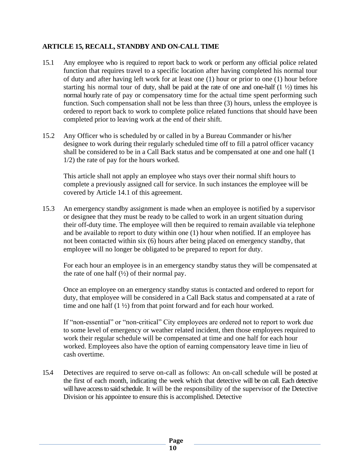# **ARTICLE 15, RECALL, STANDBY AND ON-CALL TIME**

- 15.1 Any employee who is required to report back to work or perform any official police related function that requires travel to a specific location after having completed his normal tour of duty and after having left work for at least one (1) hour or prior to one (1) hour before starting his normal tour of duty, shall be paid at the rate of one and one-half  $(1 \frac{1}{2})$  times his normal hourly rate of pay or compensatory time for the actual time spent performing such function. Such compensation shall not be less than three (3) hours, unless the employee is ordered to report back to work to complete police related functions that should have been completed prior to leaving work at the end of their shift.
- 15.2 Any Officer who is scheduled by or called in by a Bureau Commander or his/her designee to work during their regularly scheduled time off to fill a patrol officer vacancy shall be considered to be in a Call Back status and be compensated at one and one half (1 1/2) the rate of pay for the hours worked.

This article shall not apply an employee who stays over their normal shift hours to complete a previously assigned call for service. In such instances the employee will be covered by Article 14.1 of this agreement.

15.3 An emergency standby assignment is made when an employee is notified by a supervisor or designee that they must be ready to be called to work in an urgent situation during their off-duty time. The employee will then be required to remain available via telephone and be available to report to duty within one (1) hour when notified. If an employee has not been contacted within six (6) hours after being placed on emergency standby, that employee will no longer be obligated to be prepared to report for duty.

For each hour an employee is in an emergency standby status they will be compensated at the rate of one half  $(\frac{1}{2})$  of their normal pay.

Once an employee on an emergency standby status is contacted and ordered to report for duty, that employee will be considered in a Call Back status and compensated at a rate of time and one half  $(1 \frac{1}{2})$  from that point forward and for each hour worked.

If "non-essential" or "non-critical" City employees are ordered not to report to work due to some level of emergency or weather related incident, then those employees required to work their regular schedule will be compensated at time and one half for each hour worked. Employees also have the option of earning compensatory leave time in lieu of cash overtime.

15.4 Detectives are required to serve on-call as follows: An on-call schedule will be posted at the first of each month, indicating the week which that detective will be on call. Each detective will have access to said schedule. It will be the responsibility of the supervisor of the Detective Division or his appointee to ensure this is accomplished. Detective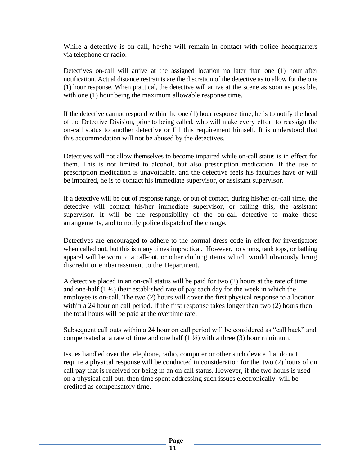While a detective is on-call, he/she will remain in contact with police headquarters via telephone or radio.

Detectives on-call will arrive at the assigned location no later than one (1) hour after notification. Actual distance restraints are the discretion of the detective as to allow for the one (1) hour response. When practical, the detective will arrive at the scene as soon as possible, with one (1) hour being the maximum allowable response time.

If the detective cannot respond within the one (1) hour response time, he is to notify the head of the Detective Division, prior to being called, who will make every effort to reassign the on-call status to another detective or fill this requirement himself. It is understood that this accommodation will not be abused by the detectives.

Detectives will not allow themselves to become impaired while on-call status is in effect for them. This is not limited to alcohol, but also prescription medication. If the use of prescription medication is unavoidable, and the detective feels his faculties have or will be impaired, he is to contact his immediate supervisor, or assistant supervisor.

If a detective will be out of response range, or out of contact, during his/her on-call time, the detective will contact his/her immediate supervisor, or failing this, the assistant supervisor. It will be the responsibility of the on-call detective to make these arrangements, and to notify police dispatch of the change.

Detectives are encouraged to adhere to the normal dress code in effect for investigators when called out, but this is many times impractical. However, no shorts, tank tops, or bathing apparel will be worn to a call-out, or other clothing items which would obviously bring discredit or embarrassment to the Department.

A detective placed in an on-call status will be paid for two (2) hours at the rate of time and one-half  $(1 \frac{1}{2})$  their established rate of pay each day for the week in which the employee is on-call. The two (2) hours will cover the first physical response to a location within a 24 hour on call period. If the first response takes longer than two (2) hours then the total hours will be paid at the overtime rate.

Subsequent call outs within a 24 hour on call period will be considered as "call back" and compensated at a rate of time and one half  $(1 \frac{1}{2})$  with a three  $(3)$  hour minimum.

Issues handled over the telephone, radio, computer or other such device that do not require a physical response will be conducted in consideration for the two (2) hours of on call pay that is received for being in an on call status. However, if the two hours is used on a physical call out, then time spent addressing such issues electronically will be credited as compensatory time.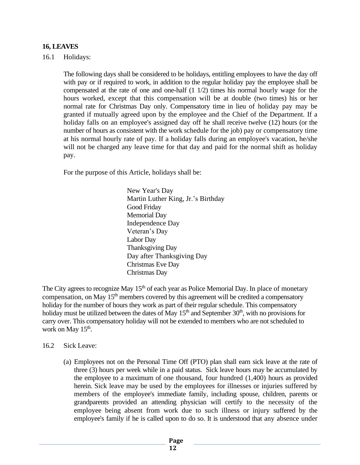#### **16, LEAVES**

#### 16.1 Holidays:

The following days shall be considered to be holidays, entitling employees to have the day off with pay or if required to work, in addition to the regular holiday pay the employee shall be compensated at the rate of one and one-half (1 1/2) times his normal hourly wage for the hours worked, except that this compensation will be at double (two times) his or her normal rate for Christmas Day only. Compensatory time in lieu of holiday pay may be granted if mutually agreed upon by the employee and the Chief of the Department. If a holiday falls on an employee's assigned day off he shall receive twelve (12) hours (or the number of hours as consistent with the work schedule for the job) pay or compensatory time at his normal hourly rate of pay. If a holiday falls during an employee's vacation, he/she will not be charged any leave time for that day and paid for the normal shift as holiday pay.

For the purpose of this Article, holidays shall be:

New Year's Day Martin Luther King, Jr.'s Birthday Good Friday Memorial Day Independence Day Veteran's Day Labor Day Thanksgiving Day Day after Thanksgiving Day Christmas Eve Day Christmas Day

The City agrees to recognize May 15<sup>th</sup> of each year as Police Memorial Day. In place of monetary compensation, on May  $15<sup>th</sup>$  members covered by this agreement will be credited a compensatory holiday for the number of hours they work as part of their regular schedule. This compensatory holiday must be utilized between the dates of May  $15<sup>th</sup>$  and September  $30<sup>th</sup>$ , with no provisions for carry over. This compensatory holiday will not be extended to members who are not scheduled to work on May 15<sup>th</sup>.

- 16.2 Sick Leave:
	- (a) Employees not on the Personal Time Off (PTO) plan shall earn sick leave at the rate of three (3) hours per week while in a paid status. Sick leave hours may be accumulated by the employee to a maximum of one thousand, four hundred (1,400) hours as provided herein. Sick leave may be used by the employees for illnesses or injuries suffered by members of the employee's immediate family, including spouse, children, parents or grandparents provided an attending physician will certify to the necessity of the employee being absent from work due to such illness or injury suffered by the employee's family if he is called upon to do so. It is understood that any absence under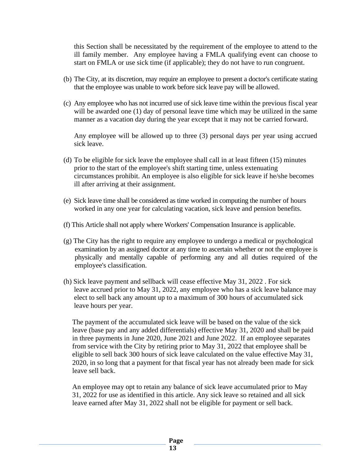this Section shall be necessitated by the requirement of the employee to attend to the ill family member. Any employee having a FMLA qualifying event can choose to start on FMLA or use sick time (if applicable); they do not have to run congruent.

- (b) The City, at its discretion, may require an employee to present a doctor's certificate stating that the employee was unable to work before sick leave pay will be allowed.
- (c) Any employee who has not incurred use of sick leave time within the previous fiscal year will be awarded one (1) day of personal leave time which may be utilized in the same manner as a vacation day during the year except that it may not be carried forward.

Any employee will be allowed up to three (3) personal days per year using accrued sick leave.

- (d) To be eligible for sick leave the employee shall call in at least fifteen (15) minutes prior to the start of the employee's shift starting time, unless extenuating circumstances prohibit. An employee is also eligible for sick leave if he/she becomes ill after arriving at their assignment.
- (e) Sick leave time shall be considered as time worked in computing the number of hours worked in any one year for calculating vacation, sick leave and pension benefits.
- (f) This Article shall not apply where Workers' Compensation Insurance is applicable.
- (g) The City has the right to require any employee to undergo a medical or psychological examination by an assigned doctor at any time to ascertain whether or not the employee is physically and mentally capable of performing any and all duties required of the employee's classification.
- (h) Sick leave payment and sellback will cease effective May 31, 2022 . For sick leave accrued prior to May 31, 2022, any employee who has a sick leave balance may elect to sell back any amount up to a maximum of 300 hours of accumulated sick leave hours per year.

The payment of the accumulated sick leave will be based on the value of the sick leave (base pay and any added differentials) effective May 31, 2020 and shall be paid in three payments in June 2020, June 2021 and June 2022. If an employee separates from service with the City by retiring prior to May 31, 2022 that employee shall be eligible to sell back 300 hours of sick leave calculated on the value effective May 31, 2020, in so long that a payment for that fiscal year has not already been made for sick leave sell back.

An employee may opt to retain any balance of sick leave accumulated prior to May 31, 2022 for use as identified in this article. Any sick leave so retained and all sick leave earned after May 31, 2022 shall not be eligible for payment or sell back.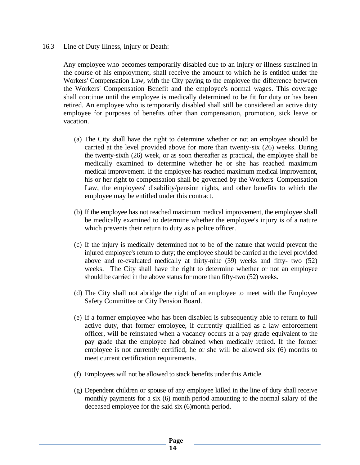16.3 Line of Duty Illness, Injury or Death:

Any employee who becomes temporarily disabled due to an injury or illness sustained in the course of his employment, shall receive the amount to which he is entitled under the Workers' Compensation Law, with the City paying to the employee the difference between the Workers' Compensation Benefit and the employee's normal wages. This coverage shall continue until the employee is medically determined to be fit for duty or has been retired. An employee who is temporarily disabled shall still be considered an active duty employee for purposes of benefits other than compensation, promotion, sick leave or vacation.

- (a) The City shall have the right to determine whether or not an employee should be carried at the level provided above for more than twenty-six (26) weeks. During the twenty-sixth (26) week, or as soon thereafter as practical, the employee shall be medically examined to determine whether he or she has reached maximum medical improvement. If the employee has reached maximum medical improvement, his or her right to compensation shall be governed by the Workers' Compensation Law, the employees' disability/pension rights, and other benefits to which the employee may be entitled under this contract.
- (b) If the employee has not reached maximum medical improvement, the employee shall be medically examined to determine whether the employee's injury is of a nature which prevents their return to duty as a police officer.
- (c) If the injury is medically determined not to be of the nature that would prevent the injured employee's return to duty; the employee should be carried at the level provided above and re-evaluated medically at thirty-nine (39) weeks and fifty- two (52) weeks. The City shall have the right to determine whether or not an employee should be carried in the above status for more than fifty-two (52) weeks.
- (d) The City shall not abridge the right of an employee to meet with the Employee Safety Committee or City Pension Board.
- (e) If a former employee who has been disabled is subsequently able to return to full active duty, that former employee, if currently qualified as a law enforcement officer, will be reinstated when a vacancy occurs at a pay grade equivalent to the pay grade that the employee had obtained when medically retired. If the former employee is not currently certified, he or she will be allowed six (6) months to meet current certification requirements.
- (f) Employees will not be allowed to stack benefits under this Article.
- (g) Dependent children or spouse of any employee killed in the line of duty shall receive monthly payments for a six (6) month period amounting to the normal salary of the deceased employee for the said six (6)month period.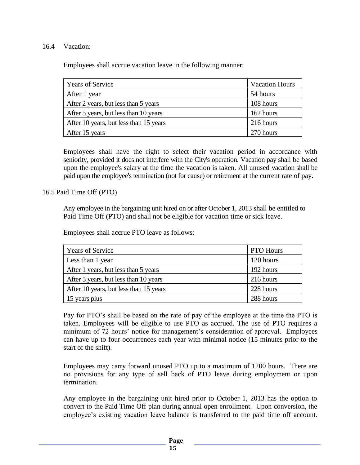#### 16.4 Vacation:

Employees shall accrue vacation leave in the following manner:

| <b>Years of Service</b>                | <b>Vacation Hours</b> |
|----------------------------------------|-----------------------|
| After 1 year                           | 54 hours              |
| After 2 years, but less than 5 years   | 108 hours             |
| After 5 years, but less than 10 years  | 162 hours             |
| After 10 years, but less than 15 years | 216 hours             |
| After 15 years                         | 270 hours             |

Employees shall have the right to select their vacation period in accordance with seniority, provided it does not interfere with the City's operation. Vacation pay shall be based upon the employee's salary at the time the vacation is taken. All unused vacation shall be paid upon the employee's termination (not for cause) or retirement at the current rate of pay.

16.5 Paid Time Off (PTO)

Any employee in the bargaining unit hired on or after October 1, 2013 shall be entitled to Paid Time Off (PTO) and shall not be eligible for vacation time or sick leave.

Employees shall accrue PTO leave as follows:

| <b>Years of Service</b>                | PTO Hours |
|----------------------------------------|-----------|
| Less than 1 year                       | 120 hours |
| After 1 years, but less than 5 years   | 192 hours |
| After 5 years, but less than 10 years  | 216 hours |
| After 10 years, but less than 15 years | 228 hours |
| 15 years plus                          | 288 hours |

Pay for PTO's shall be based on the rate of pay of the employee at the time the PTO is taken. Employees will be eligible to use PTO as accrued. The use of PTO requires a minimum of 72 hours' notice for management's consideration of approval. Employees can have up to four occurrences each year with minimal notice (15 minutes prior to the start of the shift).

Employees may carry forward unused PTO up to a maximum of 1200 hours. There are no provisions for any type of sell back of PTO leave during employment or upon termination.

Any employee in the bargaining unit hired prior to October 1, 2013 has the option to convert to the Paid Time Off plan during annual open enrollment. Upon conversion, the employee's existing vacation leave balance is transferred to the paid time off account.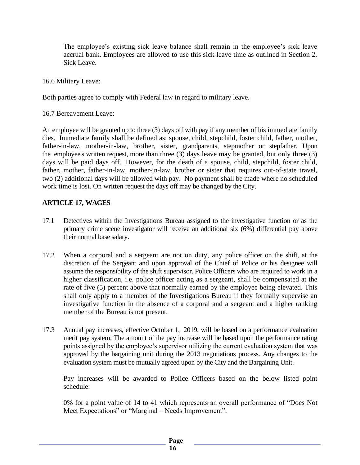The employee's existing sick leave balance shall remain in the employee's sick leave accrual bank. Employees are allowed to use this sick leave time as outlined in Section 2, Sick Leave.

16.6 Military Leave:

Both parties agree to comply with Federal law in regard to military leave.

16.7 Bereavement Leave:

An employee will be granted up to three (3) days off with pay if any member of his immediate family dies. Immediate family shall be defined as: spouse, child, stepchild, foster child, father, mother, father-in-law, mother-in-law, brother, sister, grandparents, stepmother or stepfather. Upon the employee's written request, more than three (3) days leave may be granted, but only three (3) days will be paid days off. However, for the death of a spouse, child, stepchild, foster child, father, mother, father-in-law, mother-in-law, brother or sister that requires out-of-state travel, two (2) additional days will be allowed with pay. No payment shall be made where no scheduled work time is lost. On written request the days off may be changed by the City.

#### **ARTICLE 17, WAGES**

- 17.1 Detectives within the Investigations Bureau assigned to the investigative function or as the primary crime scene investigator will receive an additional six (6%) differential pay above their normal base salary.
- 17.2 When a corporal and a sergeant are not on duty, any police officer on the shift, at the discretion of the Sergeant and upon approval of the Chief of Police or his designee will assume the responsibility of the shift supervisor. Police Officers who are required to work in a higher classification, i.e. police officer acting as a sergeant, shall be compensated at the rate of five (5) percent above that normally earned by the employee being elevated. This shall only apply to a member of the Investigations Bureau if they formally supervise an investigative function in the absence of a corporal and a sergeant and a higher ranking member of the Bureau is not present.
- 17.3 Annual pay increases, effective October 1, 2019, will be based on a performance evaluation merit pay system. The amount of the pay increase will be based upon the performance rating points assigned by the employee's supervisor utilizing the current evaluation system that was approved by the bargaining unit during the 2013 negotiations process. Any changes to the evaluation system must be mutually agreed upon by the City and the Bargaining Unit.

Pay increases will be awarded to Police Officers based on the below listed point schedule:

0% for a point value of 14 to 41 which represents an overall performance of "Does Not Meet Expectations" or "Marginal – Needs Improvement".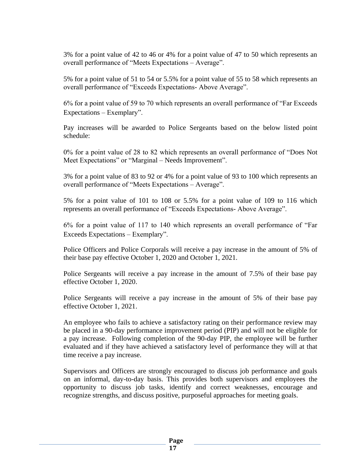3% for a point value of 42 to 46 or 4% for a point value of 47 to 50 which represents an overall performance of "Meets Expectations – Average".

5% for a point value of 51 to 54 or 5.5% for a point value of 55 to 58 which represents an overall performance of "Exceeds Expectations- Above Average".

6% for a point value of 59 to 70 which represents an overall performance of "Far Exceeds Expectations – Exemplary".

Pay increases will be awarded to Police Sergeants based on the below listed point schedule:

0% for a point value of 28 to 82 which represents an overall performance of "Does Not Meet Expectations" or "Marginal – Needs Improvement".

3% for a point value of 83 to 92 or 4% for a point value of 93 to 100 which represents an overall performance of "Meets Expectations – Average".

5% for a point value of 101 to 108 or 5.5% for a point value of 109 to 116 which represents an overall performance of "Exceeds Expectations- Above Average".

6% for a point value of 117 to 140 which represents an overall performance of "Far Exceeds Expectations – Exemplary".

Police Officers and Police Corporals will receive a pay increase in the amount of 5% of their base pay effective October 1, 2020 and October 1, 2021.

Police Sergeants will receive a pay increase in the amount of 7.5% of their base pay effective October 1, 2020.

Police Sergeants will receive a pay increase in the amount of 5% of their base pay effective October 1, 2021.

An employee who fails to achieve a satisfactory rating on their performance review may be placed in a 90-day performance improvement period (PIP) and will not be eligible for a pay increase. Following completion of the 90-day PIP, the employee will be further evaluated and if they have achieved a satisfactory level of performance they will at that time receive a pay increase.

Supervisors and Officers are strongly encouraged to discuss job performance and goals on an informal, day-to-day basis. This provides both supervisors and employees the opportunity to discuss job tasks, identify and correct weaknesses, encourage and recognize strengths, and discuss positive, purposeful approaches for meeting goals.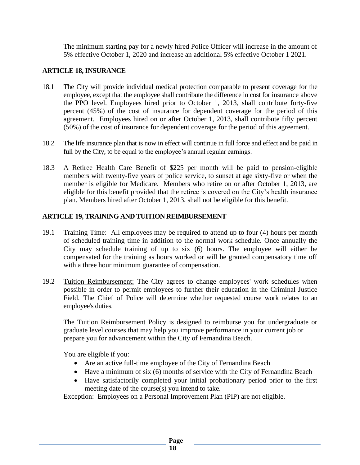The minimum starting pay for a newly hired Police Officer will increase in the amount of 5% effective October 1, 2020 and increase an additional 5% effective October 1 2021.

#### **ARTICLE 18, INSURANCE**

- 18.1 The City will provide individual medical protection comparable to present coverage for the employee, except that the employee shall contribute the difference in cost for insurance above the PPO level. Employees hired prior to October 1, 2013, shall contribute forty-five percent (45%) of the cost of insurance for dependent coverage for the period of this agreement. Employees hired on or after October 1, 2013, shall contribute fifty percent (50%) of the cost of insurance for dependent coverage for the period of this agreement.
- 18.2 The life insurance plan that is now in effect will continue in full force and effect and be paid in full by the City, to be equal to the employee's annual regular earnings.
- 18.3 A Retiree Health Care Benefit of \$225 per month will be paid to pension-eligible members with twenty-five years of police service, to sunset at age sixty-five or when the member is eligible for Medicare. Members who retire on or after October 1, 2013, are eligible for this benefit provided that the retiree is covered on the City's health insurance plan. Members hired after October 1, 2013, shall not be eligible for this benefit.

#### **ARTICLE 19, TRAINING AND TUITION REIMBURSEMENT**

- 19.1 Training Time: All employees may be required to attend up to four (4) hours per month of scheduled training time in addition to the normal work schedule. Once annually the City may schedule training of up to six (6) hours. The employee will either be compensated for the training as hours worked or will be granted compensatory time off with a three hour minimum guarantee of compensation.
- 19.2 Tuition Reimbursement: The City agrees to change employees' work schedules when possible in order to permit employees to further their education in the Criminal Justice Field. The Chief of Police will determine whether requested course work relates to an employee's duties.

The Tuition Reimbursement Policy is designed to reimburse you for undergraduate or graduate level courses that may help you improve performance in your current job or prepare you for advancement within the City of Fernandina Beach.

You are eligible if you:

- Are an active full-time employee of the City of Fernandina Beach
- Have a minimum of six (6) months of service with the City of Fernandina Beach
- Have satisfactorily completed your initial probationary period prior to the first meeting date of the course(s) you intend to take.

Exception: Employees on a Personal Improvement Plan (PIP) are not eligible.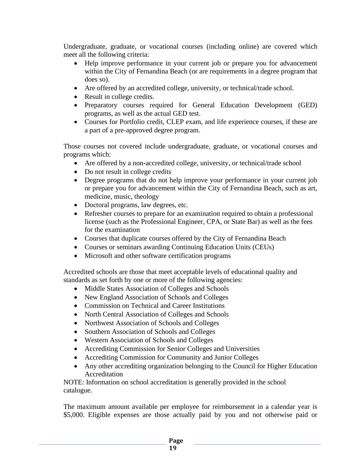Undergraduate, graduate, or vocational courses (including online) are covered which meet all the following criteria:

- Help improve performance in your current job or prepare you for advancement within the City of Fernandina Beach (or are requirements in a degree program that does so).
- Are offered by an accredited college, university, or technical/trade school.
- Result in college credits.
- Preparatory courses required for General Education Development (GED) programs, as well as the actual GED test.
- Courses for Portfolio credit, CLEP exam, and life experience courses, if these are a part of a pre-approved degree program.

Those courses not covered include undergraduate, graduate, or vocational courses and programs which:

- Are offered by a non-accredited college, university, or technical/trade school
- Do not result in college credits
- Degree programs that do not help improve your performance in your current job or prepare you for advancement within the City of Fernandina Beach, such as art, medicine, music, theology
- Doctoral programs, law degrees, etc.
- Refresher courses to prepare for an examination required to obtain a professional license (such as the Professional Engineer, CPA, or State Bar) as well as the fees for the examination
- Courses that duplicate courses offered by the City of Fernandina Beach
- Courses or seminars awarding Continuing Education Units (CEUs)
- Microsoft and other software certification programs

Accredited schools are those that meet acceptable levels of educational quality and standards as set forth by one or more of the following agencies:

- Middle States Association of Colleges and Schools
- New England Association of Schools and Colleges
- Commission on Technical and Career Institutions
- North Central Association of Colleges and Schools
- Northwest Association of Schools and Colleges
- Southern Association of Schools and Colleges
- Western Association of Schools and Colleges
- Accrediting Commission for Senior Colleges and Universities
- Accrediting Commission for Community and Junior Colleges
- Any other accrediting organization belonging to the Council for Higher Education Accreditation

NOTE: Information on school accreditation is generally provided in the school catalogue.

The maximum amount available per employee for reimbursement in a calendar year is \$5,000. Eligible expenses are those actually paid by you and not otherwise paid or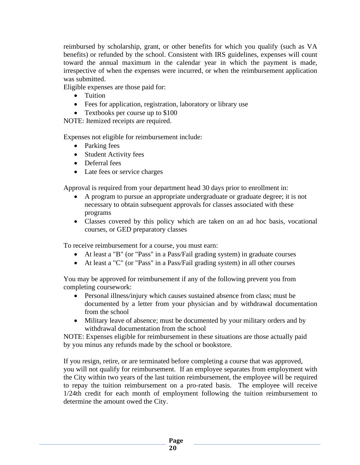reimbursed by scholarship, grant, or other benefits for which you qualify (such as VA benefits) or refunded by the school. Consistent with IRS guidelines, expenses will count toward the annual maximum in the calendar year in which the payment is made, irrespective of when the expenses were incurred, or when the reimbursement application was submitted.

Eligible expenses are those paid for:

- Tuition
- Fees for application, registration, laboratory or library use
- Textbooks per course up to \$100

NOTE: Itemized receipts are required.

Expenses not eligible for reimbursement include:

- Parking fees
- Student Activity fees
- Deferral fees
- Late fees or service charges

Approval is required from your department head 30 days prior to enrollment in:

- A program to pursue an appropriate undergraduate or graduate degree; it is not necessary to obtain subsequent approvals for classes associated with these programs
- Classes covered by this policy which are taken on an ad hoc basis, vocational courses, or GED preparatory classes

To receive reimbursement for a course, you must earn:

- At least a "B" (or "Pass" in a Pass/Fail grading system) in graduate courses
- At least a "C" (or "Pass" in a Pass/Fail grading system) in all other courses

You may be approved for reimbursement if any of the following prevent you from completing coursework:

- Personal illness/injury which causes sustained absence from class; must be documented by a letter from your physician and by withdrawal documentation from the school
- Military leave of absence; must be documented by your military orders and by withdrawal documentation from the school

NOTE: Expenses eligible for reimbursement in these situations are those actually paid by you minus any refunds made by the school or bookstore.

If you resign, retire, or are terminated before completing a course that was approved, you will not qualify for reimbursement. If an employee separates from employment with the City within two years of the last tuition reimbursement, the employee will be required to repay the tuition reimbursement on a pro-rated basis. The employee will receive 1/24th credit for each month of employment following the tuition reimbursement to determine the amount owed the City.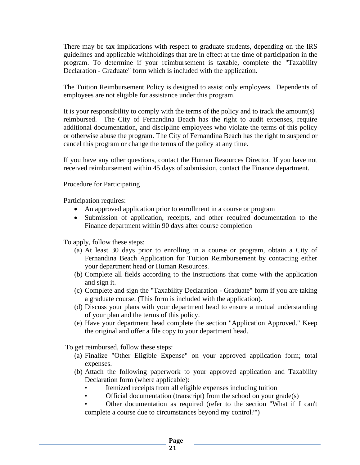There may be tax implications with respect to graduate students, depending on the IRS guidelines and applicable withholdings that are in effect at the time of participation in the program. To determine if your reimbursement is taxable, complete the "Taxability Declaration - Graduate" form which is included with the application.

The Tuition Reimbursement Policy is designed to assist only employees. Dependents of employees are not eligible for assistance under this program.

It is your responsibility to comply with the terms of the policy and to track the amount(s) reimbursed. The City of Fernandina Beach has the right to audit expenses, require additional documentation, and discipline employees who violate the terms of this policy or otherwise abuse the program. The City of Fernandina Beach has the right to suspend or cancel this program or change the terms of the policy at any time.

If you have any other questions, contact the Human Resources Director. If you have not received reimbursement within 45 days of submission, contact the Finance department.

Procedure for Participating

Participation requires:

- An approved application prior to enrollment in a course or program
- Submission of application, receipts, and other required documentation to the Finance department within 90 days after course completion

To apply, follow these steps:

- (a) At least 30 days prior to enrolling in a course or program, obtain a City of Fernandina Beach Application for Tuition Reimbursement by contacting either your department head or Human Resources.
- (b) Complete all fields according to the instructions that come with the application and sign it.
- (c) Complete and sign the "Taxability Declaration Graduate" form if you are taking a graduate course. (This form is included with the application).
- (d) Discuss your plans with your department head to ensure a mutual understanding of your plan and the terms of this policy.
- (e) Have your department head complete the section "Application Approved." Keep the original and offer a file copy to your department head.

To get reimbursed, follow these steps:

- (a) Finalize "Other Eligible Expense" on your approved application form; total expenses.
- (b) Attach the following paperwork to your approved application and Taxability Declaration form (where applicable):
	- Itemized receipts from all eligible expenses including tuition
	- Official documentation (transcript) from the school on your grade(s)
	- Other documentation as required (refer to the section "What if I can't complete a course due to circumstances beyond my control?")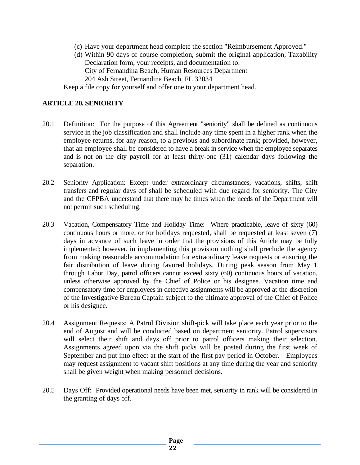- (c) Have your department head complete the section "Reimbursement Approved."
- (d) Within 90 days of course completion, submit the original application, Taxability Declaration form, your receipts, and documentation to: City of Fernandina Beach, Human Resources Department 204 Ash Street, Fernandina Beach, FL 32034

Keep a file copy for yourself and offer one to your department head.

#### **ARTICLE 20, SENIORITY**

- 20.1 Definition: For the purpose of this Agreement "seniority" shall be defined as continuous service in the job classification and shall include any time spent in a higher rank when the employee returns, for any reason, to a previous and subordinate rank; provided, however, that an employee shall be considered to have a break in service when the employee separates and is not on the city payroll for at least thirty-one (31) calendar days following the separation.
- 20.2 Seniority Application: Except under extraordinary circumstances, vacations, shifts, shift transfers and regular days off shall be scheduled with due regard for seniority. The City and the CFPBA understand that there may be times when the needs of the Department will not permit such scheduling.
- 20.3 Vacation, Compensatory Time and Holiday Time: Where practicable, leave of sixty (60) continuous hours or more, or for holidays requested, shall be requested at least seven (7) days in advance of such leave in order that the provisions of this Article may be fully implemented; however, in implementing this provision nothing shall preclude the agency from making reasonable accommodation for extraordinary leave requests or ensuring the fair distribution of leave during favored holidays. During peak season from May 1 through Labor Day, patrol officers cannot exceed sixty (60) continuous hours of vacation, unless otherwise approved by the Chief of Police or his designee. Vacation time and compensatory time for employees in detective assignments will be approved at the discretion of the Investigative Bureau Captain subject to the ultimate approval of the Chief of Police or his designee.
- 20.4 Assignment Requests: A Patrol Division shift-pick will take place each year prior to the end of August and will be conducted based on department seniority. Patrol supervisors will select their shift and days off prior to patrol officers making their selection. Assignments agreed upon via the shift picks will be posted during the first week of September and put into effect at the start of the first pay period in October. Employees may request assignment to vacant shift positions at any time during the year and seniority shall be given weight when making personnel decisions.
- 20.5 Days Off: Provided operational needs have been met, seniority in rank will be considered in the granting of days off.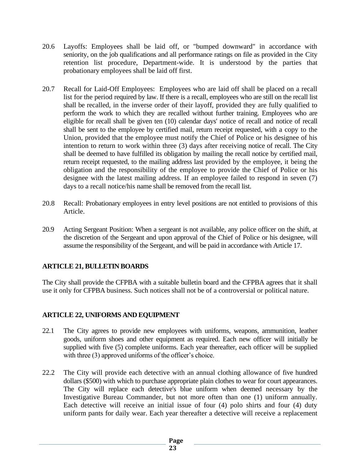- 20.6 Layoffs: Employees shall be laid off, or "bumped downward" in accordance with seniority, on the job qualifications and all performance ratings on file as provided in the City retention list procedure, Department-wide. It is understood by the parties that probationary employees shall be laid off first.
- 20.7 Recall for Laid-Off Employees: Employees who are laid off shall be placed on a recall list for the period required by law. If there is a recall, employees who are still on the recall list shall be recalled, in the inverse order of their layoff, provided they are fully qualified to perform the work to which they are recalled without further training. Employees who are eligible for recall shall be given ten (10) calendar days' notice of recall and notice of recall shall be sent to the employee by certified mail, return receipt requested, with a copy to the Union, provided that the employee must notify the Chief of Police or his designee of his intention to return to work within three (3) days after receiving notice of recall. The City shall be deemed to have fulfilled its obligation by mailing the recall notice by certified mail, return receipt requested, to the mailing address last provided by the employee, it being the obligation and the responsibility of the employee to provide the Chief of Police or his designee with the latest mailing address. If an employee failed to respond in seven (7) days to a recall notice/his name shall be removed from the recall list.
- 20.8 Recall: Probationary employees in entry level positions are not entitled to provisions of this Article.
- 20.9 Acting Sergeant Position: When a sergeant is not available, any police officer on the shift, at the discretion of the Sergeant and upon approval of the Chief of Police or his designee, will assume the responsibility of the Sergeant, and will be paid in accordance with Article 17.

# **ARTICLE 21, BULLETIN BOARDS**

The City shall provide the CFPBA with a suitable bulletin board and the CFPBA agrees that it shall use it only for CFPBA business. Such notices shall not be of a controversial or political nature.

#### **ARTICLE 22, UNIFORMS AND EQUIPMENT**

- 22.1 The City agrees to provide new employees with uniforms, weapons, ammunition, leather goods, uniform shoes and other equipment as required. Each new officer will initially be supplied with five (5) complete uniforms. Each year thereafter, each officer will be supplied with three (3) approved uniforms of the officer's choice.
- 22.2 The City will provide each detective with an annual clothing allowance of five hundred dollars (\$500) with which to purchase appropriate plain clothes to wear for court appearances. The City will replace each detective's blue uniform when deemed necessary by the Investigative Bureau Commander, but not more often than one (1) uniform annually. Each detective will receive an initial issue of four (4) polo shirts and four (4) duty uniform pants for daily wear. Each year thereafter a detective will receive a replacement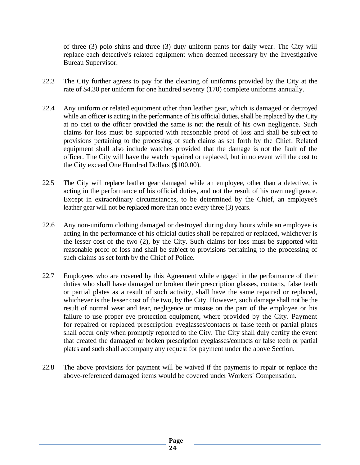of three (3) polo shirts and three (3) duty uniform pants for daily wear. The City will replace each detective's related equipment when deemed necessary by the Investigative Bureau Supervisor.

- 22.3 The City further agrees to pay for the cleaning of uniforms provided by the City at the rate of \$4.30 per uniform for one hundred seventy (170) complete uniforms annually.
- 22.4 Any uniform or related equipment other than leather gear, which is damaged or destroyed while an officer is acting in the performance of his official duties, shall be replaced by the City at no cost to the officer provided the same is not the result of his own negligence. Such claims for loss must be supported with reasonable proof of loss and shall be subject to provisions pertaining to the processing of such claims as set forth by the Chief. Related equipment shall also include watches provided that the damage is not the fault of the officer. The City will have the watch repaired or replaced, but in no event will the cost to the City exceed One Hundred Dollars (\$100.00).
- 22.5 The City will replace leather gear damaged while an employee, other than a detective, is acting in the performance of his official duties, and not the result of his own negligence. Except in extraordinary circumstances, to be determined by the Chief, an employee's leather gear will not be replaced more than once every three (3) years.
- 22.6 Any non-uniform clothing damaged or destroyed during duty hours while an employee is acting in the performance of his official duties shall be repaired or replaced, whichever is the lesser cost of the two (2), by the City. Such claims for loss must be supported with reasonable proof of loss and shall be subject to provisions pertaining to the processing of such claims as set forth by the Chief of Police.
- 22.7 Employees who are covered by this Agreement while engaged in the performance of their duties who shall have damaged or broken their prescription glasses, contacts, false teeth or partial plates as a result of such activity, shall have the same repaired or replaced, whichever is the lesser cost of the two, by the City. However, such damage shall not be the result of normal wear and tear, negligence or misuse on the part of the employee or his failure to use proper eye protection equipment, where provided by the City. Payment for repaired or replaced prescription eyeglasses/contacts or false teeth or partial plates shall occur only when promptly reported to the City. The City shall duly certify the event that created the damaged or broken prescription eyeglasses/contacts or false teeth or partial plates and such shall accompany any request for payment under the above Section.
- 22.8 The above provisions for payment will be waived if the payments to repair or replace the above-referenced damaged items would be covered under Workers' Compensation.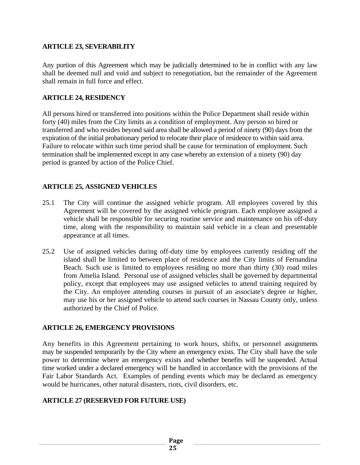#### **ARTICLE 23, SEVERABILITY**

Any portion of this Agreement which may be judicially determined to be in conflict with any law shall be deemed null and void and subject to renegotiation, but the remainder of the Agreement shall remain in full force and effect.

### **ARTICLE 24, RESIDENCY**

All persons hired or transferred into positions within the Police Department shall reside within forty (40) miles from the City limits as a condition of employment. Any person so hired or transferred and who resides beyond said area shall be allowed a period of ninety (90) days from the expiration of the initial probationary period to relocate their place of residence to within said area. Failure to relocate within such time period shall be cause for termination of employment. Such termination shall be implemented except in any case whereby an extension of a ninety (90) day period is granted by action of the Police Chief.

# **ARTICLE 25, ASSIGNED VEHICLES**

- 25.1 The City will continue the assigned vehicle program. All employees covered by this Agreement will be covered by the assigned vehicle program. Each employee assigned a vehicle shall be responsible for securing routine service and maintenance on his off-duty time, along with the responsibility to maintain said vehicle in a clean and presentable appearance at all times.
- 25.2 Use of assigned vehicles during off-duty time by employees currently residing off the island shall be limited to between place of residence and the City limits of Fernandina Beach. Such use is limited to employees residing no more than thirty (30) road miles from Amelia Island. Personal use of assigned vehicles shall be governed by departmental policy, except that employees may use assigned vehicles to attend training required by the City. An employee attending courses in pursuit of an associate's degree or higher, may use his or her assigned vehicle to attend such courses in Nassau County only, unless authorized by the Chief of Police.

#### **ARTICLE 26, EMERGENCY PROVISIONS**

Any benefits in this Agreement pertaining to work hours, shifts, or personnel assignments may be suspended temporarily by the City where an emergency exists. The City shall have the sole power to determine where an emergency exists and whether benefits will be suspended. Actual time worked under a declared emergency will be handled in accordance with the provisions of the Fair Labor Standards Act. Examples of pending events which may be declared as emergency would be hurricanes, other natural disasters, riots, civil disorders, etc.

# **ARTICLE 27 (RESERVED FOR FUTURE USE)**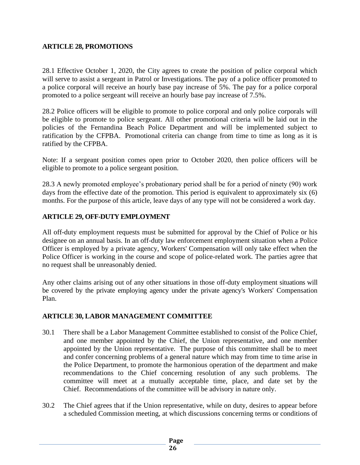# **ARTICLE 28, PROMOTIONS**

28.1 Effective October 1, 2020, the City agrees to create the position of police corporal which will serve to assist a sergeant in Patrol or Investigations. The pay of a police officer promoted to a police corporal will receive an hourly base pay increase of 5%. The pay for a police corporal promoted to a police sergeant will receive an hourly base pay increase of 7.5%.

28.2 Police officers will be eligible to promote to police corporal and only police corporals will be eligible to promote to police sergeant. All other promotional criteria will be laid out in the policies of the Fernandina Beach Police Department and will be implemented subject to ratification by the CFPBA. Promotional criteria can change from time to time as long as it is ratified by the CFPBA.

Note: If a sergeant position comes open prior to October 2020, then police officers will be eligible to promote to a police sergeant position.

28.3 A newly promoted employee's probationary period shall be for a period of ninety (90) work days from the effective date of the promotion. This period is equivalent to approximately six (6) months. For the purpose of this article, leave days of any type will not be considered a work day.

#### **ARTICLE 29, OFF-DUTY EMPLOYMENT**

All off-duty employment requests must be submitted for approval by the Chief of Police or his designee on an annual basis. In an off-duty law enforcement employment situation when a Police Officer is employed by a private agency, Workers' Compensation will only take effect when the Police Officer is working in the course and scope of police-related work. The parties agree that no request shall be unreasonably denied.

Any other claims arising out of any other situations in those off-duty employment situations will be covered by the private employing agency under the private agency's Workers' Compensation Plan.

#### **ARTICLE 30, LABOR MANAGEMENT COMMITTEE**

- 30.1 There shall be a Labor Management Committee established to consist of the Police Chief, and one member appointed by the Chief, the Union representative, and one member appointed by the Union representative. The purpose of this committee shall be to meet and confer concerning problems of a general nature which may from time to time arise in the Police Department, to promote the harmonious operation of the department and make recommendations to the Chief concerning resolution of any such problems. The committee will meet at a mutually acceptable time, place, and date set by the Chief. Recommendations of the committee will be advisory in nature only.
- 30.2 The Chief agrees that if the Union representative, while on duty, desires to appear before a scheduled Commission meeting, at which discussions concerning terms or conditions of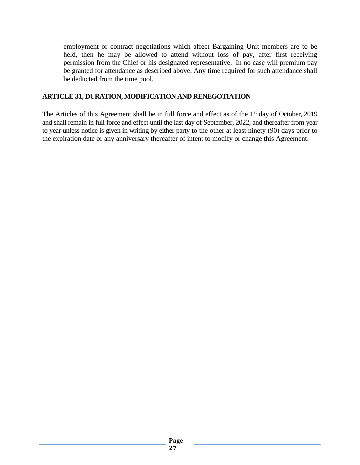employment or contract negotiations which affect Bargaining Unit members are to be held, then he may be allowed to attend without loss of pay, after first receiving permission from the Chief or his designated representative. In no case will premium pay be granted for attendance as described above. Any time required for such attendance shall be deducted from the time pool.

### **ARTICLE 31, DURATION, MODIFICATION AND RENEGOTIATION**

The Articles of this Agreement shall be in full force and effect as of the  $1<sup>st</sup>$  day of October, 2019 and shall remain in full force and effect until the last day of September, 2022, and thereafter from year to year unless notice is given in writing by either party to the other at least ninety (90) days prior to the expiration date or any anniversary thereafter of intent to modify or change this Agreement.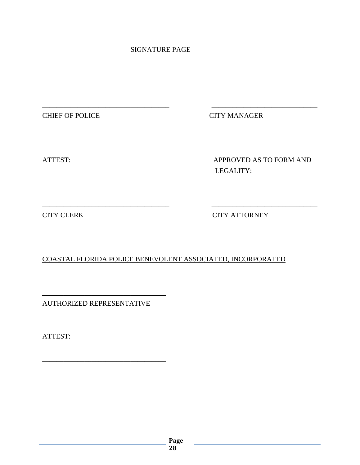# SIGNATURE PAGE

\_\_\_\_\_\_\_\_\_\_\_\_\_\_\_\_\_\_\_\_\_\_\_\_\_\_\_\_\_\_\_\_\_\_\_\_ \_\_\_\_\_\_\_\_\_\_\_\_\_\_\_\_\_\_\_\_\_\_\_\_\_\_\_\_\_\_

\_\_\_\_\_\_\_\_\_\_\_\_\_\_\_\_\_\_\_\_\_\_\_\_\_\_\_\_\_\_\_\_\_\_\_\_ \_\_\_\_\_\_\_\_\_\_\_\_\_\_\_\_\_\_\_\_\_\_\_\_\_\_\_\_\_\_

CHIEF OF POLICE CITY MANAGER

ATTEST: APPROVED AS TO FORM AND LEGALITY:

CITY CLERK CITY ATTORNEY

COASTAL FLORIDA POLICE BENEVOLENT ASSOCIATED, INCORPORATED

AUTHORIZED REPRESENTATIVE

\_\_\_\_\_\_\_\_\_\_\_\_\_\_\_\_\_\_\_\_\_\_\_\_\_\_\_\_\_\_\_\_\_\_\_

\_\_\_\_\_\_\_\_\_\_\_\_\_\_\_\_\_\_\_\_\_\_\_\_\_\_\_\_\_\_\_\_\_\_\_

ATTEST:

**Page 28**